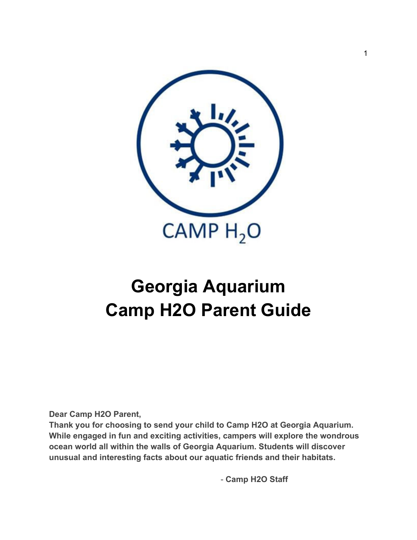

# **Georgia Aquarium Camp H2O Parent Guide**

**Dear Camp H2O Parent,** 

**Thank you for choosing to send your child to Camp H2O at Georgia Aquarium. While engaged in fun and exciting activities, campers will explore the wondrous ocean world all within the walls of Georgia Aquarium. Students will discover unusual and interesting facts about our aquatic friends and their habitats.** 

- **Camp H2O Staff**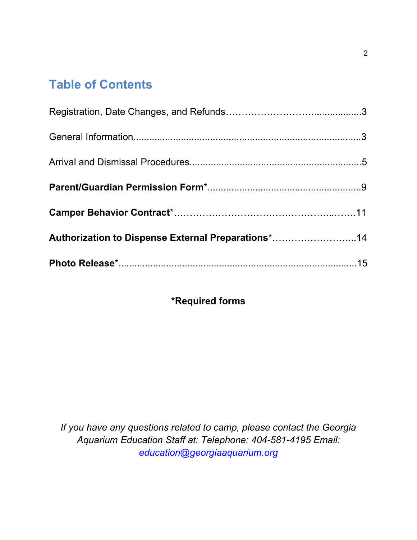## **Table of Contents**

| Authorization to Dispense External Preparations*14 |  |
|----------------------------------------------------|--|
|                                                    |  |

### **\*Required forms**

*If you have any questions related to camp, please contact the Georgia Aquarium Education Staff at: Telephone: 404-581-4195 Email: education@georgiaaquarium.org*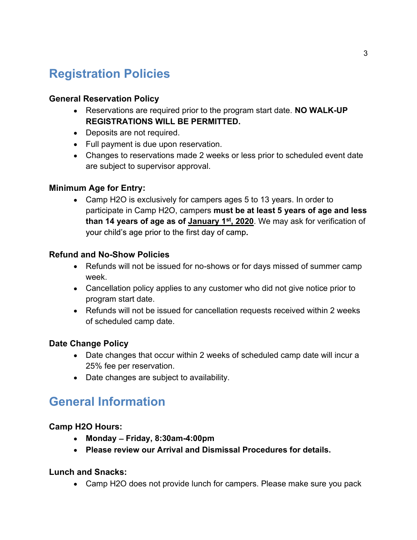## **Registration Policies**

### **General Reservation Policy**

- Reservations are required prior to the program start date. **NO WALK-UP REGISTRATIONS WILL BE PERMITTED.**
- Deposits are not required.
- Full payment is due upon reservation.
- Changes to reservations made 2 weeks or less prior to scheduled event date are subject to supervisor approval.

### **Minimum Age for Entry:**

Camp H2O is exclusively for campers ages 5 to 13 years. In order to participate in Camp H2O, campers **must be at least 5 years of age and less than 14 years of age as of January 1st , 2020**. We may ask for verification of your child's age prior to the first day of camp.

### **Refund and No-Show Policies**

- Refunds will not be issued for no-shows or for days missed of summer camp week.
- Cancellation policy applies to any customer who did not give notice prior to program start date.
- Refunds will not be issued for cancellation requests received within 2 weeks of scheduled camp date.

### **Date Change Policy**

- Date changes that occur within 2 weeks of scheduled camp date will incur a 25% fee per reservation.
- Date changes are subject to availability.

## **General Information**

### **Camp H2O Hours:**

- **Monday Friday, 8:30am-4:00pm**
- **Please review our Arrival and Dismissal Procedures for details.**

### **Lunch and Snacks:**

Camp H2O does not provide lunch for campers. Please make sure you pack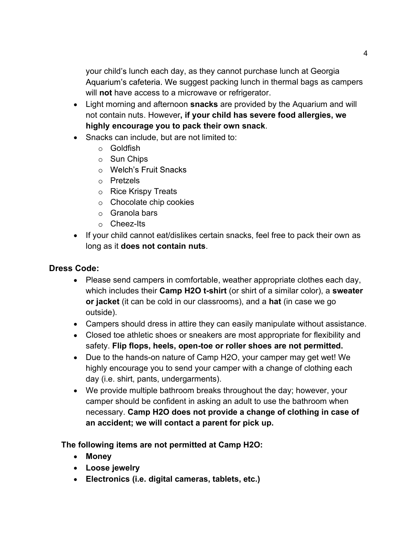your child's lunch each day, as they cannot purchase lunch at Georgia Aquarium's cafeteria. We suggest packing lunch in thermal bags as campers will **not** have access to a microwave or refrigerator.

- Light morning and afternoon **snacks** are provided by the Aquarium and will not contain nuts. However**, if your child has severe food allergies, we highly encourage you to pack their own snack**.
- Snacks can include, but are not limited to:
	- $\circ$  Goldfish
	- $\circ$  Sun Chips
	- $\circ$  Welch's Fruit Snacks
	- Pretzels
	- $\circ$  Rice Krispy Treats
	- $\circ$  Chocolate chip cookies
	- $\circ$  Granola bars
	- Cheez-Its
- If your child cannot eat/dislikes certain snacks, feel free to pack their own as long as it **does not contain nuts**.

### **Dress Code:**

- Please send campers in comfortable, weather appropriate clothes each day, which includes their **Camp H2O t-shirt** (or shirt of a similar color), a **sweater or jacket** (it can be cold in our classrooms), and a **hat** (in case we go outside).
- Campers should dress in attire they can easily manipulate without assistance.
- Closed toe athletic shoes or sneakers are most appropriate for flexibility and safety. **Flip flops, heels, open-toe or roller shoes are not permitted.**
- Due to the hands-on nature of Camp H2O, your camper may get wet! We highly encourage you to send your camper with a change of clothing each day (i.e. shirt, pants, undergarments).
- We provide multiple bathroom breaks throughout the day; however, your camper should be confident in asking an adult to use the bathroom when necessary. **Camp H2O does not provide a change of clothing in case of an accident; we will contact a parent for pick up.**

**The following items are not permitted at Camp H2O:**

- **Money**
- **Loose jewelry**
- **Electronics (i.e. digital cameras, tablets, etc.)**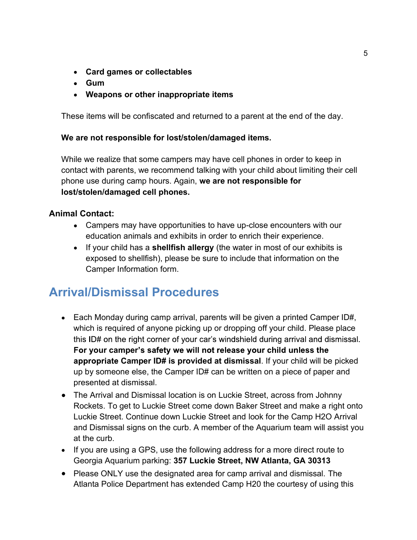- **Card games or collectables**
- **Gum**
- **Weapons or other inappropriate items**

These items will be confiscated and returned to a parent at the end of the day.

### **We are not responsible for lost/stolen/damaged items.**

While we realize that some campers may have cell phones in order to keep in contact with parents, we recommend talking with your child about limiting their cell phone use during camp hours. Again, **we are not responsible for lost/stolen/damaged cell phones.** 

### **Animal Contact:**

- Campers may have opportunities to have up-close encounters with our education animals and exhibits in order to enrich their experience.
- If your child has a **shellfish allergy** (the water in most of our exhibits is exposed to shellfish), please be sure to include that information on the Camper Information form.

## **Arrival/Dismissal Procedures**

- Each Monday during camp arrival, parents will be given a printed Camper ID#, which is required of anyone picking up or dropping off your child. Please place this ID# on the right corner of your car's windshield during arrival and dismissal. For your camper's safety we will not release your child unless the **appropriate Camper ID# is provided at dismissal.** If your child will be picked up by someone else, the Camper ID# can be written on a piece of paper and presented at dismissal.
- The Arrival and Dismissal location is on Luckie Street, across from Johnny Rockets. To get to Luckie Street come down Baker Street and make a right onto Luckie Street. Continue down Luckie Street and look for the Camp H2O Arrival and Dismissal signs on the curb. A member of the Aquarium team will assist you at the curb.
- If you are using a GPS, use the following address for a more direct route to Georgia Aquarium parking: **357 Luckie Street, NW Atlanta, GA 30313**
- Please ONLY use the designated area for camp arrival and dismissal. The Atlanta Police Department has extended Camp H20 the courtesy of using this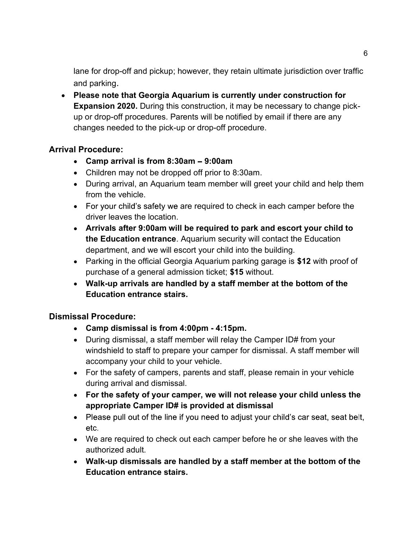lane for drop-off and pickup; however, they retain ultimate jurisdiction over traffic and parking.

**Please note that Georgia Aquarium is currently under construction for Expansion 2020.** During this construction, it may be necessary to change pickup or drop-off procedures. Parents will be notified by email if there are any changes needed to the pick-up or drop-off procedure.

### **Arrival Procedure:**

- **Camp arrival is from 8:30am 9:00am**
- Children may not be dropped off prior to 8:30am.
- During arrival, an Aquarium team member will greet your child and help them from the vehicle.
- $\bullet$  For your child's safety we are required to check in each camper before the driver leaves the location.
- **Arrivals after 9:00am will be required to park and escort your child to the Education entrance**. Aquarium security will contact the Education department, and we will escort your child into the building.
- Parking in the official Georgia Aquarium parking garage is **\$12** with proof of purchase of a general admission ticket; **\$15** without.
- **Walk-up arrivals are handled by a staff member at the bottom of the Education entrance stairs.**

### **Dismissal Procedure:**

- **Camp dismissal is from 4:00pm 4:15pm.**
- During dismissal, a staff member will relay the Camper ID# from your windshield to staff to prepare your camper for dismissal. A staff member will accompany your child to your vehicle.
- For the safety of campers, parents and staff, please remain in your vehicle during arrival and dismissal.
- **For the safety of your camper, we will not release your child unless the appropriate Camper ID# is provided at dismissal**
- Please pull out of the line if you need to adjust your child's car seat, seat belt, etc.
- We are required to check out each camper before he or she leaves with the authorized adult.
- **Walk-up dismissals are handled by a staff member at the bottom of the Education entrance stairs.**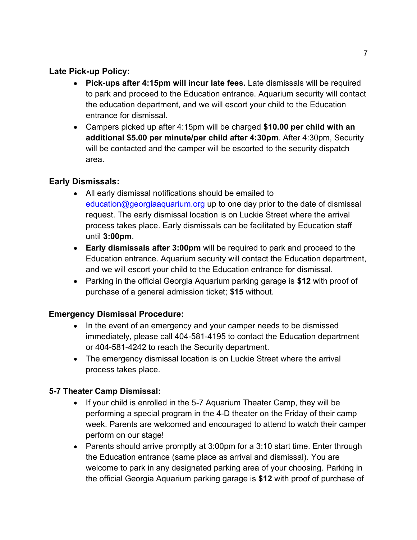### **Late Pick-up Policy:**

- **Pick-ups after 4:15pm will incur late fees.** Late dismissals will be required to park and proceed to the Education entrance. Aquarium security will contact the education department, and we will escort your child to the Education entrance for dismissal.
- Campers picked up after 4:15pm will be charged **\$10.00 per child with an additional \$5.00 per minute/per child after 4:30pm**. After 4:30pm, Security will be contacted and the camper will be escorted to the security dispatch area.

### **Early Dismissals:**

- All early dismissal notifications should be emailed to education@georgiaaquarium.org up to one day prior to the date of dismissal request. The early dismissal location is on Luckie Street where the arrival process takes place. Early dismissals can be facilitated by Education staff until **3:00pm**.
- **Early dismissals after 3:00pm** will be required to park and proceed to the Education entrance. Aquarium security will contact the Education department, and we will escort your child to the Education entrance for dismissal.
- Parking in the official Georgia Aquarium parking garage is **\$12** with proof of purchase of a general admission ticket; **\$15** without.

### **Emergency Dismissal Procedure:**

- In the event of an emergency and your camper needs to be dismissed immediately, please call 404-581-4195 to contact the Education department or 404-581-4242 to reach the Security department.
- The emergency dismissal location is on Luckie Street where the arrival process takes place.

### **5-7 Theater Camp Dismissal:**

- If your child is enrolled in the 5-7 Aquarium Theater Camp, they will be performing a special program in the 4-D theater on the Friday of their camp week. Parents are welcomed and encouraged to attend to watch their camper perform on our stage!
- Parents should arrive promptly at 3:00pm for a 3:10 start time. Enter through the Education entrance (same place as arrival and dismissal). You are welcome to park in any designated parking area of your choosing. Parking in the official Georgia Aquarium parking garage is **\$12** with proof of purchase of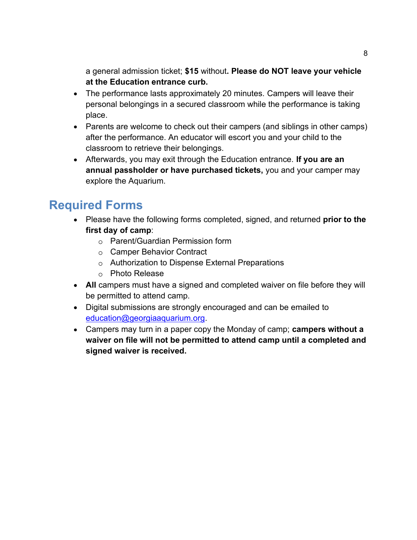a general admission ticket; **\$15** without**. Please do NOT leave your vehicle at the Education entrance curb.** 

- The performance lasts approximately 20 minutes. Campers will leave their personal belongings in a secured classroom while the performance is taking place.
- Parents are welcome to check out their campers (and siblings in other camps) after the performance. An educator will escort you and your child to the classroom to retrieve their belongings.
- Afterwards, you may exit through the Education entrance. **If you are an annual passholder or have purchased tickets,** you and your camper may explore the Aquarium.

## **Required Forms**

- Please have the following forms completed, signed, and returned **prior to the first day of camp**:
	- Parent/Guardian Permission form
	- o Camper Behavior Contract
	- Authorization to Dispense External Preparations
	- o Photo Release
- **All** campers must have a signed and completed waiver on file before they will be permitted to attend camp.
- Digital submissions are strongly encouraged and can be emailed to education@georgiaaquarium.org.
- Campers may turn in a paper copy the Monday of camp; **campers without a waiver on file will not be permitted to attend camp until a completed and signed waiver is received.**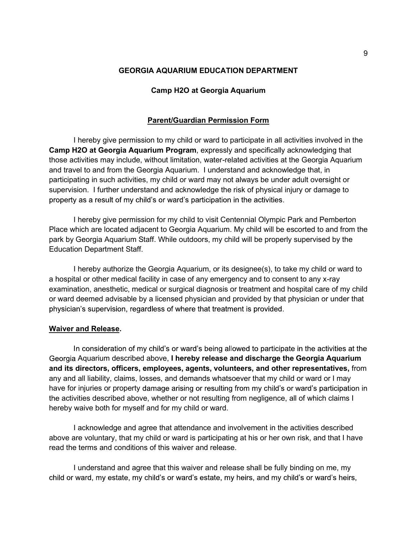#### **GEORGIA AQUARIUM EDUCATION DEPARTMENT**

#### **Camp H2O at Georgia Aquarium**

#### **Parent/Guardian Permission Form**

 I hereby give permission to my child or ward to participate in all activities involved in the **Camp H2O at Georgia Aquarium Program**, expressly and specifically acknowledging that those activities may include, without limitation, water-related activities at the Georgia Aquarium and travel to and from the Georgia Aquarium. I understand and acknowledge that, in participating in such activities, my child or ward may not always be under adult oversight or supervision. I further understand and acknowledge the risk of physical injury or damage to property as a result of my child's or ward's participation in the activities.

I hereby give permission for my child to visit Centennial Olympic Park and Pemberton Place which are located adjacent to Georgia Aquarium. My child will be escorted to and from the park by Georgia Aquarium Staff. While outdoors, my child will be properly supervised by the Education Department Staff.

 I hereby authorize the Georgia Aquarium, or its designee(s), to take my child or ward to a hospital or other medical facility in case of any emergency and to consent to any x-ray examination, anesthetic, medical or surgical diagnosis or treatment and hospital care of my child or ward deemed advisable by a licensed physician and provided by that physician or under that physician's supervision, regardless of where that treatment is provided.

#### **Waiver and Release.**

In consideration of my child's or ward's being allowed to participate in the activities at the Aquarium described above, **I hereby release and discharge the Georgia Aquarium and its directors, officers, employees, agents, volunteers, and other representatives,** from any and all liability, claims, losses, and demands whatsoever that my child or ward or I may have for injuries or property damage arising or resulting from my child's or ward's participation in the activities described above, whether or not resulting from negligence, all of which claims I hereby waive both for myself and for my child or ward.

 I acknowledge and agree that attendance and involvement in the activities described above are voluntary, that my child or ward is participating at his or her own risk, and that I have read the terms and conditions of this waiver and release.

 I understand and agree that this waiver and release shall be fully binding on me, mychild or ward, my estate, my child's or ward's estate, my heirs, and my child's or ward's heirs,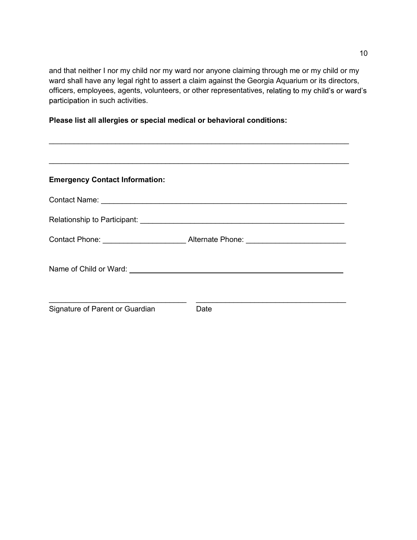and that neither I nor my child nor my ward nor anyone claiming through me or my child or my ward shall have any legal right to assert a claim against the Georgia Aquarium or its directors, officers, employees, agents, volunteers, or other representatives, relating to my child's or ward's participation in such activities.

**Please list all allergies or special medical or behavioral conditions:**

| <b>Emergency Contact Information:</b>                                                                                                                     |                                                                                   |
|-----------------------------------------------------------------------------------------------------------------------------------------------------------|-----------------------------------------------------------------------------------|
|                                                                                                                                                           |                                                                                   |
|                                                                                                                                                           |                                                                                   |
|                                                                                                                                                           | Contact Phone: ________________________________Alternate Phone: _________________ |
|                                                                                                                                                           |                                                                                   |
| <u> 1989 - Johann Stoff, deutscher Stoffen und der Stoffen und der Stoffen und der Stoffen und der Stoffen und der</u><br>Signature of Parent or Guardian | Date                                                                              |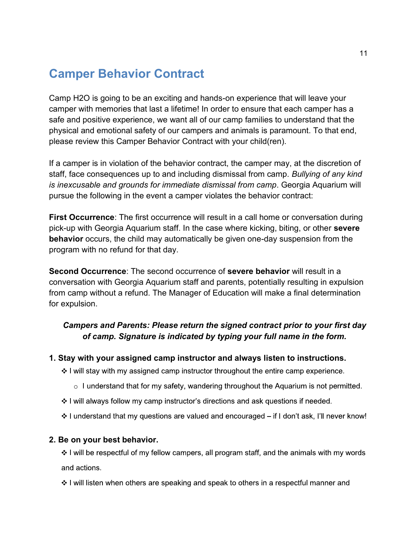## **Camper Behavior Contract**

Camp H2O is going to be an exciting and hands-on experience that will leave your camper with memories that last a lifetime! In order to ensure that each camper has a safe and positive experience, we want all of our camp families to understand that the physical and emotional safety of our campers and animals is paramount. To that end, please review this Camper Behavior Contract with your child(ren).

If a camper is in violation of the behavior contract, the camper may, at the discretion of staff, face consequences up to and including dismissal from camp. *Bullying of any kind is inexcusable and grounds for immediate dismissal from camp*. Georgia Aquarium will pursue the following in the event a camper violates the behavior contract:

**First Occurrence**: The first occurrence will result in a call home or conversation during pick-up with Georgia Aquarium staff. In the case where kicking, biting, or other **severe behavior** occurs, the child may automatically be given one-day suspension from the program with no refund for that day.

**Second Occurrence**: The second occurrence of **severe behavior** will result in a conversation with Georgia Aquarium staff and parents, potentially resulting in expulsion from camp without a refund. The Manager of Education will make a final determination for expulsion.

### *Campers and Parents: Please return the signed contract prior to your first day of camp. Signature is indicated by typing your full name in the form.*

### **1. Stay with your assigned camp instructor and always listen to instructions.**

- ❖ I will stay with my assigned camp instructor throughout the entire camp experience.
	- $\circ$  I understand that for my safety, wandering throughout the Aquarium is not permitted.
- ❖ I will always follow my camp instructor's directions and ask questions if needed.
- $\cdot$  I understand that my questions are valued and encouraged if I don't ask, I'll never know!

### **2. Be on your best behavior.**

❖ I will be respectful of my fellow campers, all program staff, and the animals with my words and actions.

 $\div$  I will listen when others are speaking and speak to others in a respectful manner and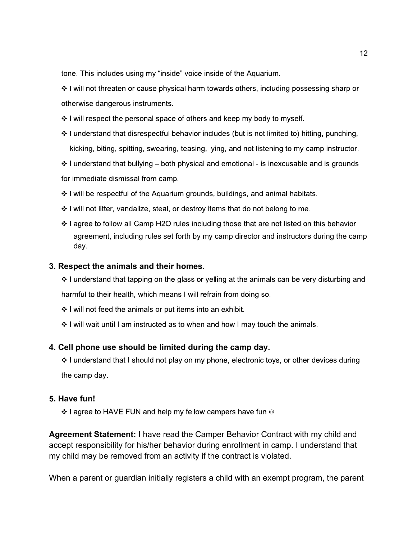tone. This includes using my "inside" voice inside of the Aquarium.

❖ I will not threaten or cause physical harm towards others, including possessing sharp or otherwise dangerous instruments.

- $\div$  I will respect the personal space of others and keep my body to myself.
- $\div$  I understand that disrespectful behavior includes (but is not limited to) hitting, punching, kicking, biting, spitting, swearing, teasing, lying, and not listening to my camp instructor.

 $\div$  I understand that bullying – both physical and emotional - is inexcusable and is grounds for immediate dismissal from camp.

- ❖ I will be respectful of the Aquarium grounds, buildings, and animal habitats.
- $\div$  I will not litter, vandalize, steal, or destroy items that do not belong to me.
- $\div$  I agree to follow all Camp H2O rules including those that are not listed on this behavior agreement, including rules set forth by my camp director and instructors during the camp day.

### **3. Respect the animals and their homes.**

 $\div$  I understand that tapping on the glass or yelling at the animals can be very disturbing and harmful to their health, which means I will refrain from doing so.

- ❖ I will not feed the animals or put items into an exhibit.
- $\div$  I will wait until I am instructed as to when and how I may touch the animals.

### **4. Cell phone use should be limited during the camp day.**

❖ I understand that I should not play on my phone, electronic toys, or other devices during the camp day.

### **Have fun!**

❖ I agree to HAVE FUN and help my fellow campers have fun  $\circledcirc$ 

**Agreement Statement:** I have read the Camper Behavior Contract with my child and accept responsibility for his/her behavior during enrollment in camp. I understand that my child may be removed from an activity if the contract is violated.

When a parent or guardian initially registers a child with an exempt program, the parent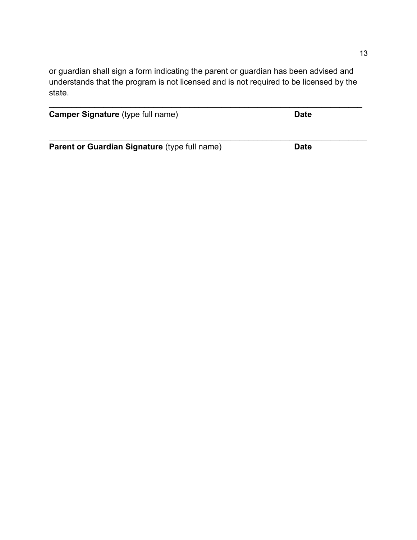or guardian shall sign a form indicating the parent or guardian has been advised and understands that the program is not licensed and is not required to be licensed by the state.

| <b>Camper Signature (type full name)</b> | <b>Date</b> |  |
|------------------------------------------|-------------|--|
|                                          |             |  |

**Parent or Guardian Signature** (type full name) **Date**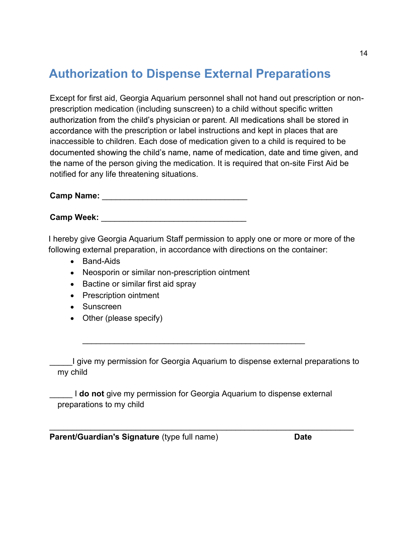## **Authorization to Dispense External Preparations**

Except for first aid, Georgia Aquarium personnel shall not hand out prescription or nonprescription medication (including sunscreen) to a child without specific written authorization from the child's physician or parent. All medications shall be stored in accordance with the prescription or label instructions and kept in places that are inaccessible to children. Each dose of medication given to a child is required to be documented showing the child's name, name of medication, date and time given, and the name of the person giving the medication. It is required that on-site First Aid be notified for any life threatening situations.

**Camp Name:** \_\_\_\_\_\_\_\_\_\_\_\_\_\_\_\_\_\_\_\_\_\_\_\_\_\_\_\_\_\_\_\_

**Camp Week:** \_\_\_\_\_\_\_\_\_\_\_\_\_\_\_\_\_\_\_\_\_\_\_\_\_\_\_\_\_\_\_\_

I hereby give Georgia Aquarium Staff permission to apply one or more or more of the following external preparation, in accordance with directions on the container:

- Band-Aids
- Neosporin or similar non-prescription ointment
- Bactine or similar first aid spray
- Prescription ointment
- Sunscreen
- Other (please specify)

\_\_\_\_\_I give my permission for Georgia Aquarium to dispense external preparations to my child

\_\_\_\_\_ I **do not** give my permission for Georgia Aquarium to dispense external preparations to my child

 $\overline{\phantom{a}}$  , and the contribution of the contribution of the contribution of the contribution of the contribution of the contribution of the contribution of the contribution of the contribution of the contribution of the

\_\_\_\_\_\_\_\_\_\_\_\_\_\_\_\_\_\_\_\_\_\_\_\_\_\_\_\_\_\_\_\_\_\_\_\_\_\_\_\_\_\_\_\_\_\_\_\_\_

**Parent/Guardian's Signature** (type full name) **Date**